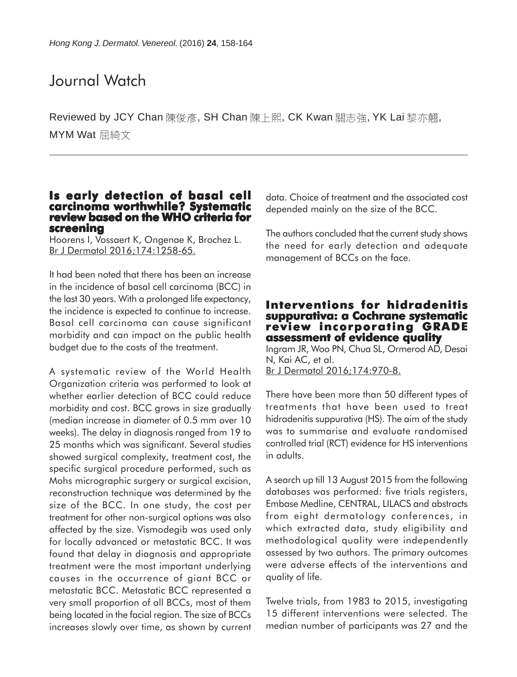# Journal Watch

Reviewed by JCY Chan 陳俊彥, SH Chan 陳上熙, CK Kwan 關志強, YK Lai 黎亦翹, MYM Wat 屈綺文

### **Is early detection of basal cell carcinoma worthwhile? Systematic review based on the WHO criteria for screening**

Hoorens I, Vossaert K, Ongenae K, Brochez L. Br J Dermatol 2016;174:1258-65.

It had been noted that there has been an increase in the incidence of basal cell carcinoma (BCC) in the last 30 years. With a prolonged life expectancy, the incidence is expected to continue to increase. Basal cell carcinoma can cause significant morbidity and can impact on the public health budget due to the costs of the treatment.

A systematic review of the World Health Organization criteria was performed to look at whether earlier detection of BCC could reduce morbidity and cost. BCC grows in size gradually (median increase in diameter of 0.5 mm over 10 weeks). The delay in diagnosis ranged from 19 to 25 months which was significant. Several studies showed surgical complexity, treatment cost, the specific surgical procedure performed, such as Mohs micrographic surgery or surgical excision, reconstruction technique was determined by the size of the BCC. In one study, the cost per treatment for other non-surgical options was also affected by the size. Vismodegib was used only for locally advanced or metastatic BCC. It was found that delay in diagnosis and appropriate treatment were the most important underlying causes in the occurrence of giant BCC or metastatic BCC. Metastatic BCC represented a very small proportion of all BCCs, most of them being located in the facial region. The size of BCCs increases slowly over time, as shown by current

data. Choice of treatment and the associated cost depended mainly on the size of the BCC.

The authors concluded that the current study shows the need for early detection and adequate management of BCCs on the face.

### **Interventions for hidradenitis suppurativa: a Cochrane systematic review incorporating GRADE assessment of evidence quality**

Ingram JR, Woo PN, Chua SL, Ormerod AD, Desai N, Kai AC, et al. Br J Dermatol 2016;174:970-8.

There have been more than 50 different types of treatments that have been used to treat hidradenitis suppurativa (HS). The aim of the study was to summarise and evaluate randomised controlled trial (RCT) evidence for HS interventions in adults.

A search up till 13 August 2015 from the following databases was performed: five trials registers, Embase Medline, CENTRAL, LILACS and abstracts from eight dermatology conferences, in which extracted data, study eligibility and methodological quality were independently assessed by two authors. The primary outcomes were adverse effects of the interventions and quality of life.

Twelve trials, from 1983 to 2015, investigating 15 different interventions were selected. The median number of participants was 27 and the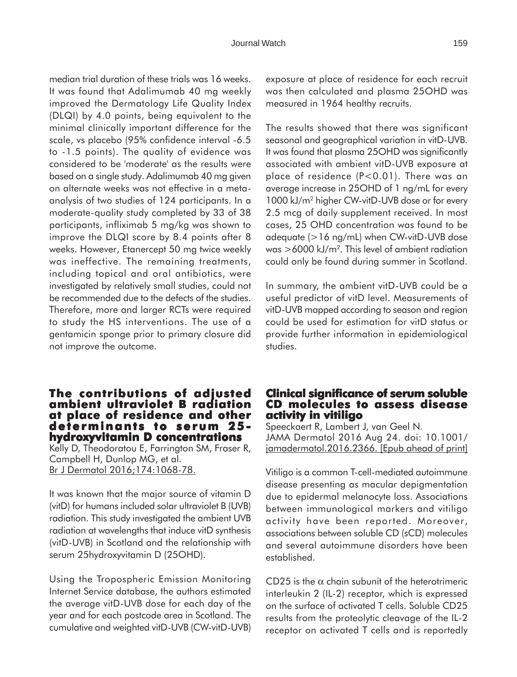median trial duration of these trials was 16 weeks. It was found that Adalimumab 40 mg weekly improved the Dermatology Life Quality Index (DLQI) by 4.0 points, being equivalent to the minimal clinically important difference for the scale, vs placebo (95% confidence interval -6.5 to -1.5 points). The quality of evidence was considered to be 'moderate' as the results were based on a single study. Adalimumab 40 mg given on alternate weeks was not effective in a metaanalysis of two studies of 124 participants. In a moderate-quality study completed by 33 of 38 participants, infliximab 5 mg/kg was shown to improve the DLQI score by 8.4 points after 8 weeks. However, Etanercept 50 mg twice weekly was ineffective. The remaining treatments, including topical and oral antibiotics, were investigated by relatively small studies, could not be recommended due to the defects of the studies. Therefore, more and larger RCTs were required to study the HS interventions. The use of a gentamicin sponge prior to primary closure did not improve the outcome.

### **The contributions of adjusted ambient ultraviolet B radiation at place of residence and other determinants to serum 25 hydroxyvitamin D concentrations**

Kelly D, Theodoratou E, Farrington SM, Fraser R, Campbell H, Dunlop MG, et al. Br J Dermatol 2016;174:1068-78.

It was known that the major source of vitamin D (vitD) for humans included solar ultraviolet B (UVB) radiation. This study investigated the ambient UVB radiation at wavelengths that induce vitD synthesis (vitD-UVB) in Scotland and the relationship with serum 25hydroxyvitamin D (25OHD).

Using the Tropospheric Emission Monitoring Internet Service database, the authors estimated the average vitD-UVB dose for each day of the year and for each postcode area in Scotland. The cumulative and weighted vitD-UVB (CW-vitD-UVB) exposure at place of residence for each recruit was then calculated and plasma 25OHD was measured in 1964 healthy recruits.

The results showed that there was significant seasonal and geographical variation in vitD-UVB. It was found that plasma 25OHD was significantly associated with ambient vitD-UVB exposure at place of residence (P<0.01). There was an average increase in 25OHD of 1 ng/mL for every 1000 kJ/m2 higher CW-vitD-UVB dose or for every 2.5 mcg of daily supplement received. In most cases, 25 OHD concentration was found to be adequate (>16 ng/mL) when CW-vitD-UVB dose was  $>6000$  kJ/m<sup>2</sup>. This level of ambient radiation could only be found during summer in Scotland.

In summary, the ambient vitD-UVB could be a useful predictor of vitD level. Measurements of vitD-UVB mapped according to season and region could be used for estimation for vitD status or provide further information in epidemiological studies.

# **Clinical significance of serum soluble CD molecules to assess disease activity in vitiligo**

Speeckaert R, Lambert J, van Geel N. JAMA Dermatol 2016 Aug 24. doi: 10.1001/ jamadermatol.2016.2366. [Epub ahead of print]

Vitiligo is a common T-cell-mediated autoimmune disease presenting as macular depigmentation due to epidermal melanocyte loss. Associations between immunological markers and vitiligo activity have been reported. Moreover, associations between soluble CD (sCD) molecules and several autoimmune disorders have been established.

CD25 is the  $\alpha$  chain subunit of the heterotrimeric interleukin 2 (IL-2) receptor, which is expressed on the surface of activated T cells. Soluble CD25 results from the proteolytic cleavage of the IL-2 receptor on activated T cells and is reportedly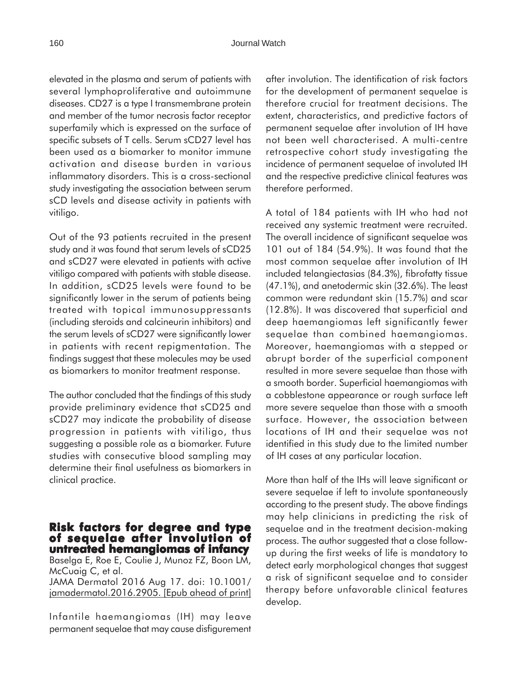elevated in the plasma and serum of patients with several lymphoproliferative and autoimmune diseases. CD27 is a type I transmembrane protein and member of the tumor necrosis factor receptor superfamily which is expressed on the surface of specific subsets of T cells. Serum sCD27 level has been used as a biomarker to monitor immune activation and disease burden in various inflammatory disorders. This is a cross-sectional study investigating the association between serum sCD levels and disease activity in patients with vitiligo.

Out of the 93 patients recruited in the present study and it was found that serum levels of sCD25 and sCD27 were elevated in patients with active vitiligo compared with patients with stable disease. In addition, sCD25 levels were found to be significantly lower in the serum of patients being treated with topical immunosuppressants (including steroids and calcineurin inhibitors) and the serum levels of sCD27 were significantly lower in patients with recent repigmentation. The findings suggest that these molecules may be used as biomarkers to monitor treatment response.

The author concluded that the findings of this study provide preliminary evidence that sCD25 and sCD27 may indicate the probability of disease progression in patients with vitiligo, thus suggesting a possible role as a biomarker. Future studies with consecutive blood sampling may determine their final usefulness as biomarkers in clinical practice.

### **Risk factors for degree and type of sequelae after involution of after of untreated hemangiomas of infancy**

Baselga E, Roe E, Coulie J, Munoz FZ, Boon LM, McCuaig C, et al.

JAMA Dermatol 2016 Aug 17. doi: 10.1001/ jamadermatol.2016.2905. [Epub ahead of print]

Infantile haemangiomas (IH) may leave permanent sequelae that may cause disfigurement after involution. The identification of risk factors for the development of permanent sequelae is therefore crucial for treatment decisions. The extent, characteristics, and predictive factors of permanent sequelae after involution of IH have not been well characterised. A multi-centre retrospective cohort study investigating the incidence of permanent sequelae of involuted IH and the respective predictive clinical features was therefore performed.

A total of 184 patients with IH who had not received any systemic treatment were recruited. The overall incidence of significant sequelae was 101 out of 184 (54.9%). It was found that the most common sequelae after involution of IH included telangiectasias (84.3%), fibrofatty tissue (47.1%), and anetodermic skin (32.6%). The least common were redundant skin (15.7%) and scar (12.8%). It was discovered that superficial and deep haemangiomas left significantly fewer sequelae than combined haemangiomas. Moreover, haemangiomas with a stepped or abrupt border of the superficial component resulted in more severe sequelae than those with a smooth border. Superficial haemangiomas with a cobblestone appearance or rough surface left more severe sequelae than those with a smooth surface. However, the association between locations of IH and their sequelae was not identified in this study due to the limited number of IH cases at any particular location.

More than half of the IHs will leave significant or severe sequelae if left to involute spontaneously according to the present study. The above findings may help clinicians in predicting the risk of sequelae and in the treatment decision-making process. The author suggested that a close followup during the first weeks of life is mandatory to detect early morphological changes that suggest a risk of significant sequelae and to consider therapy before unfavorable clinical features develop.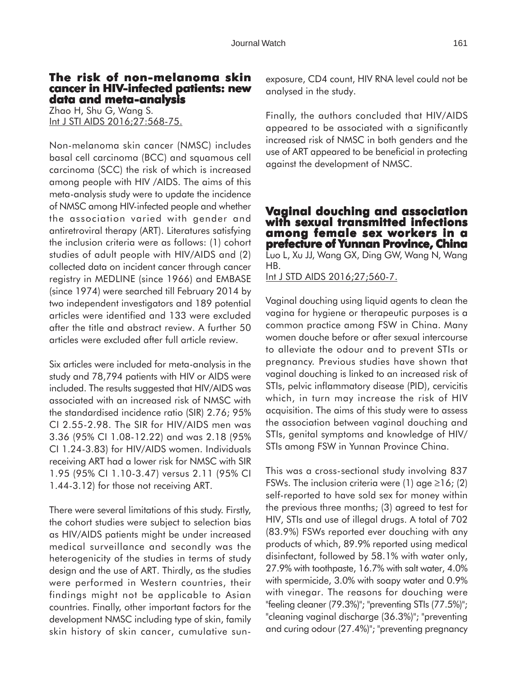# **The risk of non-melanoma skin cancer in HIV-infected patients: new data and meta-analysis**

Zhao H, Shu G, Wang S. Int J STI AIDS 2016;27:568-75.

Non-melanoma skin cancer (NMSC) includes basal cell carcinoma (BCC) and squamous cell carcinoma (SCC) the risk of which is increased among people with HIV /AIDS. The aims of this meta-analysis study were to update the incidence of NMSC among HIV-infected people and whether the association varied with gender and antiretroviral therapy (ART). Literatures satisfying the inclusion criteria were as follows: (1) cohort studies of adult people with HIV/AIDS and (2) collected data on incident cancer through cancer registry in MEDLINE (since 1966) and EMBASE (since 1974) were searched till February 2014 by two independent investigators and 189 potential articles were identified and 133 were excluded after the title and abstract review. A further 50 articles were excluded after full article review.

Six articles were included for meta-analysis in the study and 78,794 patients with HIV or AIDS were included. The results suggested that HIV/AIDS was associated with an increased risk of NMSC with the standardised incidence ratio (SIR) 2.76; 95% CI 2.55-2.98. The SIR for HIV/AIDS men was 3.36 (95% CI 1.08-12.22) and was 2.18 (95% CI 1.24-3.83) for HIV/AIDS women. Individuals receiving ART had a lower risk for NMSC with SIR 1.95 (95% CI 1.10-3.47) versus 2.11 (95% CI 1.44-3.12) for those not receiving ART.

There were several limitations of this study. Firstly, the cohort studies were subject to selection bias as HIV/AIDS patients might be under increased medical surveillance and secondly was the heterogenicity of the studies in terms of study design and the use of ART. Thirdly, as the studies were performed in Western countries, their findings might not be applicable to Asian countries. Finally, other important factors for the development NMSC including type of skin, family skin history of skin cancer, cumulative sunexposure, CD4 count, HIV RNA level could not be analysed in the study.

Finally, the authors concluded that HIV/AIDS appeared to be associated with a significantly increased risk of NMSC in both genders and the use of ART appeared to be beneficial in protecting against the development of NMSC.

### **Vaginal douching and association with sexual transmitted infections among female sex workers in a prefecture of Yunnan Province, China** Luo L, Xu JJ, Wang GX, Ding GW, Wang N, Wang HB.

Int J STD AIDS 2016;27;560-7.

Vaginal douching using liquid agents to clean the vagina for hygiene or therapeutic purposes is a common practice among FSW in China. Many women douche before or after sexual intercourse to alleviate the odour and to prevent STIs or pregnancy. Previous studies have shown that vaginal douching is linked to an increased risk of STIs, pelvic inflammatory disease (PID), cervicitis which, in turn may increase the risk of HIV acquisition. The aims of this study were to assess the association between vaginal douching and STIs, genital symptoms and knowledge of HIV/ STIs among FSW in Yunnan Province China.

This was a cross-sectional study involving 837 FSWs. The inclusion criteria were (1) age  $\geq$ 16; (2) self-reported to have sold sex for money within the previous three months; (3) agreed to test for HIV, STIs and use of illegal drugs. A total of 702 (83.9%) FSWs reported ever douching with any products of which, 89.9% reported using medical disinfectant, followed by 58.1% with water only, 27.9% with toothpaste, 16.7% with salt water, 4.0% with spermicide, 3.0% with soapy water and 0.9% with vinegar. The reasons for douching were "feeling cleaner (79.3%)"; "preventing STIs (77.5%)"; "cleaning vaginal discharge (36.3%)"; "preventing and curing odour (27.4%)"; "preventing pregnancy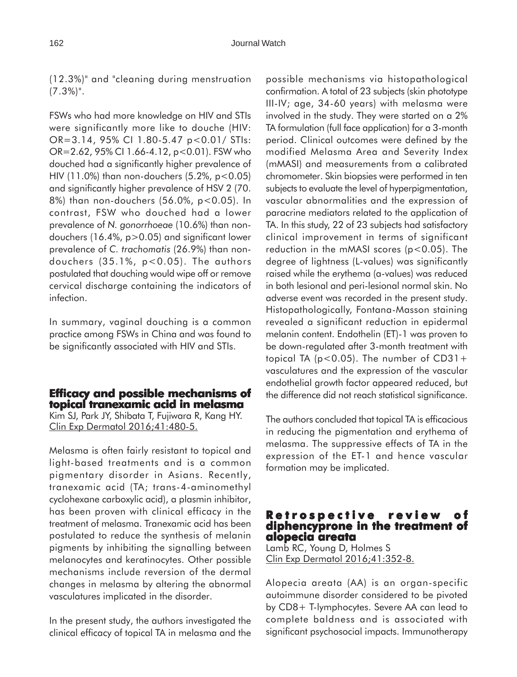(12.3%)" and "cleaning during menstruation  $(7.3\%)$ ".

FSWs who had more knowledge on HIV and STIs were significantly more like to douche (HIV: OR=3.14, 95% CI 1.80-5.47 p<0.01/ STIs: OR=2.62, 95% CI 1.66-4.12, p<0.01). FSW who douched had a significantly higher prevalence of HIV (11.0%) than non-douchers  $(5.2\% , p<0.05)$ and significantly higher prevalence of HSV 2 (70. 8%) than non-douchers (56.0%, p<0.05). In contrast, FSW who douched had a lower prevalence of *N. gonorrhoeae* (10.6%) than nondouchers (16.4%, p>0.05) and significant lower prevalence of *C. trachomatis* (26.9%) than nondouchers (35.1%, p<0.05). The authors postulated that douching would wipe off or remove cervical discharge containing the indicators of infection.

In summary, vaginal douching is a common practice among FSWs in China and was found to be significantly associated with HIV and STIs.

# **Efficacy and possible mechanisms of Efficacy and possible mechanisms of topical tranexamic acid in melasma**

Kim SJ, Park JY, Shibata T, Fujiwara R, Kang HY. Clin Exp Dermatol 2016;41:480-5.

Melasma is often fairly resistant to topical and light-based treatments and is a common pigmentary disorder in Asians. Recently, tranexamic acid (TA; trans-4-aminomethyl cyclohexane carboxylic acid), a plasmin inhibitor, has been proven with clinical efficacy in the treatment of melasma. Tranexamic acid has been postulated to reduce the synthesis of melanin pigments by inhibiting the signalling between melanocytes and keratinocytes. Other possible mechanisms include reversion of the dermal changes in melasma by altering the abnormal vasculatures implicated in the disorder.

In the present study, the authors investigated the clinical efficacy of topical TA in melasma and the possible mechanisms via histopathological confirmation. A total of 23 subjects (skin phototype III-IV; age, 34-60 years) with melasma were involved in the study. They were started on a 2% TA formulation (full face application) for a 3-month period. Clinical outcomes were defined by the modified Melasma Area and Severity Index (mMASI) and measurements from a calibrated chromometer. Skin biopsies were performed in ten subjects to evaluate the level of hyperpigmentation, vascular abnormalities and the expression of paracrine mediators related to the application of TA. In this study, 22 of 23 subjects had satisfactory clinical improvement in terms of significant reduction in the mMASI scores  $(p<0.05)$ . The degree of lightness (L-values) was significantly raised while the erythema (a-values) was reduced in both lesional and peri-lesional normal skin. No adverse event was recorded in the present study. Histopathologically, Fontana-Masson staining revealed a significant reduction in epidermal melanin content. Endothelin (ET)-1 was proven to be down-regulated after 3-month treatment with topical TA ( $p < 0.05$ ). The number of CD31+ vasculatures and the expression of the vascular endothelial growth factor appeared reduced, but the difference did not reach statistical significance.

The authors concluded that topical TA is efficacious in reducing the pigmentation and erythema of melasma. The suppressive effects of TA in the expression of the ET-1 and hence vascular formation may be implicated.

# **R etrospective review of etrospective review of diphencyprone in the treatment of diphencyprone the of alopecia areata**

Lamb RC, Young D, Holmes S Clin Exp Dermatol 2016;41:352-8.

Alopecia areata (AA) is an organ-specific autoimmune disorder considered to be pivoted by CD8+ T-lymphocytes. Severe AA can lead to complete baldness and is associated with significant psychosocial impacts. Immunotherapy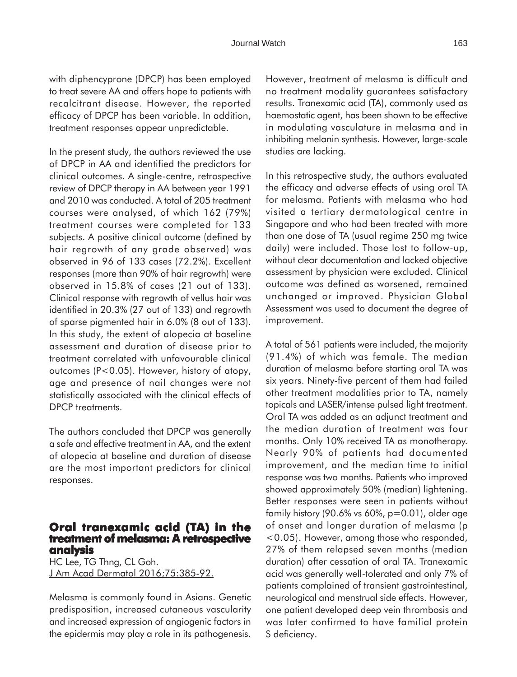with diphencyprone (DPCP) has been employed to treat severe AA and offers hope to patients with recalcitrant disease. However, the reported efficacy of DPCP has been variable. In addition, treatment responses appear unpredictable.

In the present study, the authors reviewed the use of DPCP in AA and identified the predictors for clinical outcomes. A single-centre, retrospective review of DPCP therapy in AA between year 1991 and 2010 was conducted. A total of 205 treatment courses were analysed, of which 162 (79%) treatment courses were completed for 133 subjects. A positive clinical outcome (defined by hair regrowth of any grade observed) was observed in 96 of 133 cases (72.2%). Excellent responses (more than 90% of hair regrowth) were observed in 15.8% of cases (21 out of 133). Clinical response with regrowth of vellus hair was identified in 20.3% (27 out of 133) and regrowth of sparse pigmented hair in 6.0% (8 out of 133). In this study, the extent of alopecia at baseline assessment and duration of disease prior to treatment correlated with unfavourable clinical outcomes (P<0.05). However, history of atopy, age and presence of nail changes were not statistically associated with the clinical effects of DPCP treatments.

The authors concluded that DPCP was generally a safe and effective treatment in AA, and the extent of alopecia at baseline and duration of disease are the most important predictors for clinical responses.

# **Oral tranexamic acid (TA) in the treatment of melasma: A retrospective analysis**

HC Lee, TG Thng, CL Goh. J Am Acad Dermatol 2016;75:385-92.

Melasma is commonly found in Asians. Genetic predisposition, increased cutaneous vascularity and increased expression of angiogenic factors in the epidermis may play a role in its pathogenesis. However, treatment of melasma is difficult and no treatment modality guarantees satisfactory results. Tranexamic acid (TA), commonly used as haemostatic agent, has been shown to be effective in modulating vasculature in melasma and in inhibiting melanin synthesis. However, large-scale studies are lacking.

In this retrospective study, the authors evaluated the efficacy and adverse effects of using oral TA for melasma. Patients with melasma who had visited a tertiary dermatological centre in Singapore and who had been treated with more than one dose of TA (usual regime 250 mg twice daily) were included. Those lost to follow-up, without clear documentation and lacked objective assessment by physician were excluded. Clinical outcome was defined as worsened, remained unchanged or improved. Physician Global Assessment was used to document the degree of improvement.

A total of 561 patients were included, the majority (91.4%) of which was female. The median duration of melasma before starting oral TA was six years. Ninety-five percent of them had failed other treatment modalities prior to TA, namely topicals and LASER/intense pulsed light treatment. Oral TA was added as an adjunct treatment and the median duration of treatment was four months. Only 10% received TA as monotherapy. Nearly 90% of patients had documented improvement, and the median time to initial response was two months. Patients who improved showed approximately 50% (median) lightening. Better responses were seen in patients without family history (90.6% vs 60%,  $p=0.01$ ), older age of onset and longer duration of melasma (p <0.05). However, among those who responded, 27% of them relapsed seven months (median duration) after cessation of oral TA. Tranexamic acid was generally well-tolerated and only 7% of patients complained of transient gastrointestinal, neurological and menstrual side effects. However, one patient developed deep vein thrombosis and was later confirmed to have familial protein S deficiency.